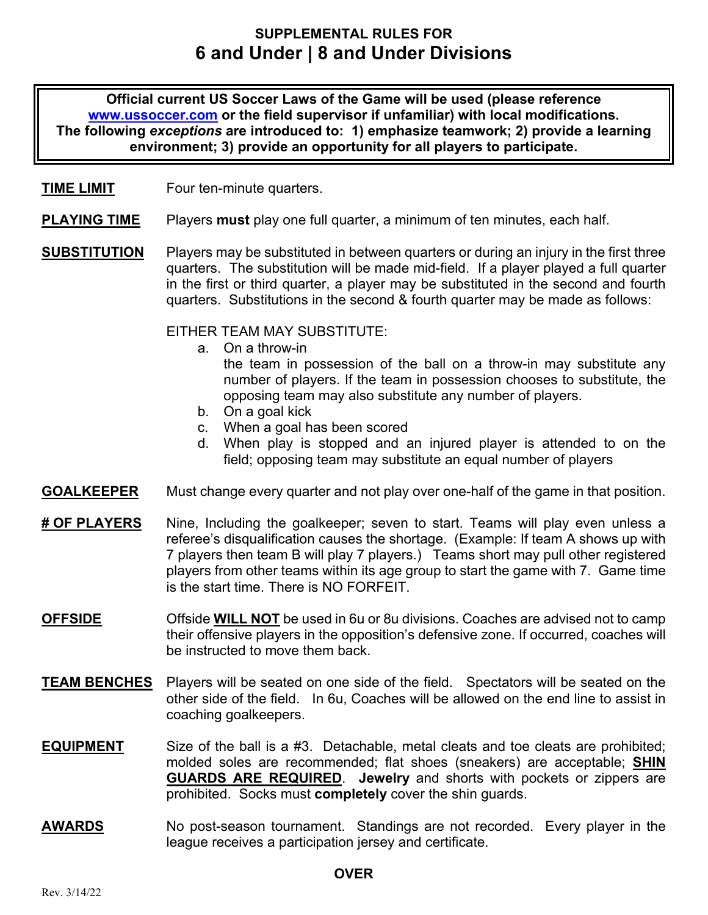# **SUPPLEMENTAL RULES FOR 6 and Under | 8 and Under Divisions**

**Official current US Soccer Laws of the Game will be used (please reference www.ussoccer.com or the field supervisor if unfamiliar) with local modifications. The following** *exceptions* **are introduced to: 1) emphasize teamwork; 2) provide a learning environment; 3) provide an opportunity for all players to participate.** 

#### **TIME LIMIT** Four ten-minute quarters.

- **PLAYING TIME** Players **must** play one full quarter, a minimum of ten minutes, each half.
- **SUBSTITUTION** Players may be substituted in between quarters or during an injury in the first three quarters. The substitution will be made mid-field. If a player played a full quarter in the first or third quarter, a player may be substituted in the second and fourth quarters. Substitutions in the second & fourth quarter may be made as follows:

EITHER TEAM MAY SUBSTITUTE:

- a. On a throw-in the team in possession of the ball on a throw-in may substitute any number of players. If the team in possession chooses to substitute, the opposing team may also substitute any number of players.
- b. On a goal kick
- c. When a goal has been scored
- d. When play is stopped and an injured player is attended to on the field; opposing team may substitute an equal number of players
- **GOALKEEPER** Must change every quarter and not play over one-half of the game in that position.
- **# OF PLAYERS** Nine, Including the goalkeeper; seven to start. Teams will play even unless a referee's disqualification causes the shortage. (Example: If team A shows up with 7 players then team B will play 7 players.) Teams short may pull other registered players from other teams within its age group to start the game with 7. Game time is the start time. There is NO FORFEIT.
- **OFFSIDE** Offside **WILL NOT** be used in 6u or 8u divisions. Coaches are advised not to camp their offensive players in the opposition's defensive zone. If occurred, coaches will be instructed to move them back.
- **TEAM BENCHES** Players will be seated on one side of the field. Spectators will be seated on the other side of the field. In 6u, Coaches will be allowed on the end line to assist in coaching goalkeepers.
- **EQUIPMENT** Size of the ball is a #3. Detachable, metal cleats and toe cleats are prohibited; molded soles are recommended; flat shoes (sneakers) are acceptable; **SHIN GUARDS ARE REQUIRED**. **Jewelry** and shorts with pockets or zippers are prohibited. Socks must **completely** cover the shin guards.
- **AWARDS** No post-season tournament. Standings are not recorded. Every player in the league receives a participation jersey and certificate.

#### **OVER**